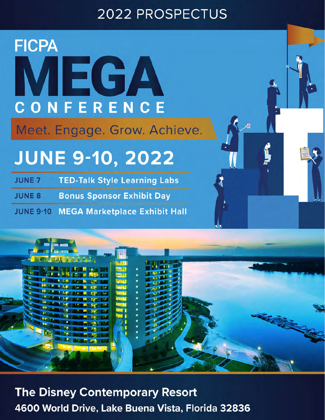# **2022 PROSPECTUS**

# **FICPA** MEGA CONFERENCE

Meet. Engage. Grow. Achieve.

# **JUNE 9-10, 2022**

**TED-Talk Style Learning Labs JUNE 7** 

**Bonus Sponsor Exhibit Day JUNE 8** 

**MEGA Marketplace Exhibit Hall JUNE 9-10** 



**The Disney Contemporary Resort** 4600 World Drive, Lake Buena Vista, Florida 32836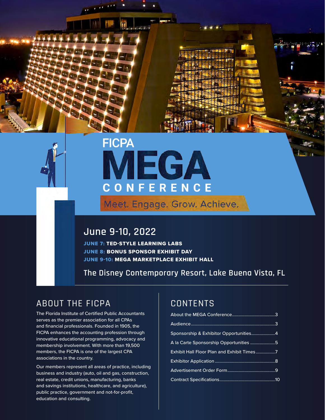

# **FICPA IEGA** CONFERENCE

Meet. Engage. Grow. Achieve.

## **June 9-10, 2022**

JUNE 7: TED-STYLE LEARNING LABS JUNE 8: BONUS SPONSOR EXHIBIT DAY JUNE 9-10: MEGA MARKETPLACE EXHIBIT HALL

**The Disney Contemporary Resort, Lake Buena Vista, FL**

## ABOUT THE FICPA

The Florida Institute of Certified Public Accountants serves as the premier association for all CPAs and financial professionals. Founded in 1905, the FICPA enhances the accounting profession through innovative educational programming, advocacy and membership involvement. With more than 19,500 members, the FICPA is one of the largest CPA associations in the country.

Our members represent all areas of practice, including business and industry (auto, oil and gas, construction, real estate, credit unions, manufacturing, banks and savings institutions, healthcare, and agriculture), public practice, government and not-for-profit, education and consulting.

## **CONTENTS**

| Sponsorship & Exhibitor Opportunities4     |  |
|--------------------------------------------|--|
| A la Carte Sponsorship Opportunities 5     |  |
| Exhibit Hall Floor Plan and Exhibit Times7 |  |
|                                            |  |
|                                            |  |
|                                            |  |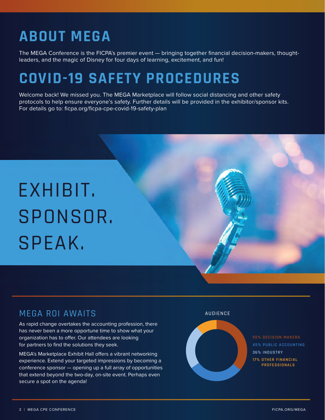# **ABOUT MEGA**

The MEGA Conference is the FICPA's premier event — bringing together financial decision-makers, thoughtleaders, and the magic of Disney for four days of learning, excitement, and fun!

# **COVID-19 SAFETY PROCEDURES**

Welcome back! We missed you. The MEGA Marketplace will follow social distancing and other safety protocols to help ensure everyone's safety. Further details will be provided in the exhibitor/sponsor kits. For details go to: ficpa.org/ficpa-cpe-covid-19-safety-plan

# EXHIBIT. SPONSOR. SPEAK.

## MEGA ROI AWAITS

As rapid change overtakes the accounting profession, there has never been a more opportune time to show what your organization has to offer. Our attendees are looking for partners to find the solutions they seek.

MEGA's Marketplace Exhibit Hall offers a vibrant networking experience. Extend your targeted impressions by becoming a conference sponsor — opening up a full array of opportunities that extend beyond the two-day, on-site event. Perhaps even secure a spot on the agenda!

## AUDIENCE

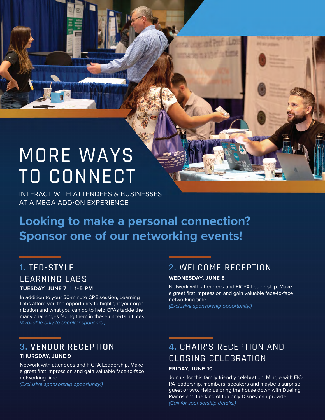# MORE WAYS TO CONNECT

INTERACT WITH ATTENDEES & BUSINESSES AT A MEGA ADD-ON EXPERIENCE

# **Looking to make a personal connection? Sponsor one of our networking events!**

## **1. TED-STYLE**  LEARNING LABS **TUESDAY, JUNE 7 | 1-5 PM**

In addition to your 50-minute CPE session, Learning Labs afford you the opportunity to highlight your organization and what you can do to help CPAs tackle the many challenges facing them in these uncertain times. *(Available only to speaker sponsors.)* 

## **3. VENDOR RECEPTION**

## **THURSDAY, JUNE 9**

Network with attendees and FICPA Leadership. Make a great first impression and gain valuable face-to-face networking time.

*(Exclusive sponsorship opportunity!)*

## **2.** WELCOME RECEPTION

## **WEDNESDAY, JUNE 8**

Network with attendees and FICPA Leadership. Make a great first impression and gain valuable face-to-face networking time.

*(Exclusive sponsorship opportunity!)*

## **4.** CHAIR'S RECEPTION AND CLOSING CELEBRATION

## **FRIDAY, JUNE 10**

Join us for this family friendly celebration! Mingle with FIC-PA leadership, members, speakers and maybe a surprise guest or two. Help us bring the house down with Dueling Pianos and the kind of fun only Disney can provide. *(Call for sponsorship details.)*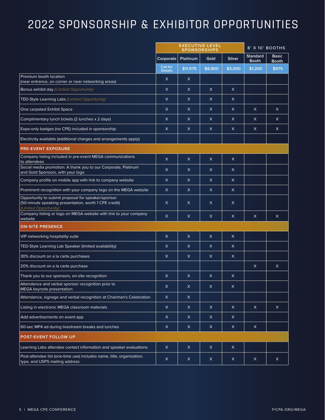# 2022 SPONSORSHIP & EXHIBITOR OPPORTUNITIES

|                                                                                                                                      | <b>EXECUTIVE-LEVEL</b><br><b>SPONSORSHIPS</b>  |              |              | 8' X 10' BOOTHS                 |                              |              |
|--------------------------------------------------------------------------------------------------------------------------------------|------------------------------------------------|--------------|--------------|---------------------------------|------------------------------|--------------|
|                                                                                                                                      | Platinum<br><b>Silver</b><br>Corporate<br>Gold |              |              | <b>Standard</b><br><b>Booth</b> | <b>Basic</b><br><b>Booth</b> |              |
|                                                                                                                                      | Call for<br><b>Details</b>                     | \$11,975     | \$8,900      | \$5,000                         | \$1,200                      | \$975        |
| Premium booth location<br>(near entrance, on corner or near networking areas)                                                        | $\mathsf{X}$                                   | X            |              |                                 |                              |              |
| Bonus exhibit day (Limited Opportunity)                                                                                              | $\mathsf{X}$                                   | $\mathsf{X}$ | $\mathsf{X}$ | $\mathsf{X}$                    |                              |              |
| TED-Style Learning Labs (Limited Opportunity)                                                                                        | $\times$                                       | $\times$     | $\mathsf{X}$ | $\times$                        |                              |              |
| One carpeted Exhibit Space                                                                                                           | X                                              | X            | $\times$     | X                               | $\times$                     | $\times$     |
| Complimentary lunch tickets (2 lunches x 2 days)                                                                                     | $\mathsf{X}$                                   | $\mathsf{X}$ | X.           | X                               | $\times$                     | $\times$     |
| Expo-only badges (no CPE) included in sponsorship                                                                                    | $\mathsf{X}$                                   | $\times$     | $\mathsf{X}$ | $\mathsf{X}$                    | $\times$                     | X            |
| Electricity available (additional charges and arrangements apply)                                                                    |                                                |              |              |                                 |                              |              |
| <b>PRE-EVENT EXPOSURE</b>                                                                                                            |                                                |              |              |                                 |                              |              |
| Company listing included in pre-event MEGA communications<br>to attendees                                                            | $\mathsf X$                                    | $\mathsf{X}$ | $\mathsf{X}$ | $\mathsf{X}$                    |                              |              |
| Social media promotion: A thank you to our Corporate, Platinum<br>and Gold Sponsors, with your logo                                  | $\times$                                       | $\times$     | $\times$     | $\times$                        |                              |              |
| Company profile on mobile app with link to company website                                                                           | $\mathsf{X}$                                   | $\times$     | $\mathsf{X}$ | $\mathsf{X}$                    |                              |              |
| Prominent recognition with your company logo on the MEGA website                                                                     | $\mathsf{X}$                                   | X            | $\mathsf{X}$ | $\times$                        |                              |              |
| Opportunity to submit proposal for speaker/sponsor<br>(50-minute speaking presentation, worth 1 CPE credit)<br>(Limited Opportunity) | X                                              | X            | $\mathsf{X}$ | X                               |                              |              |
| Company listing or logo on MEGA website with link to your company<br>website                                                         | $\mathsf{X}$                                   | $\mathsf{X}$ | $\mathsf{X}$ | $\mathsf{X}$                    | $\times$                     | X            |
| <b>ON-SITE PRESENCE</b>                                                                                                              |                                                |              |              |                                 |                              |              |
| VIP networking hospitality suite                                                                                                     | $\times$                                       | X            | $\times$     | $\times$                        |                              |              |
| TED-Style Learning Lab Speaker (limited availability)                                                                                | $\times$                                       | X            | X            | X                               |                              |              |
| 30% discount on a la carte purchases                                                                                                 | $\mathsf{X}$                                   | $\times$     | $\mathsf{X}$ | X                               |                              |              |
| 20% discount on a la carte purchase                                                                                                  |                                                |              |              |                                 | $\times$                     | $\mathsf{X}$ |
| Thank you to our sponsors, on-site recognition                                                                                       | X                                              | X            | $\times$     | X                               |                              |              |
| Attendance and verbal sponsor recognition prior to<br>MEGA keynote presentation                                                      | $\mathsf X$                                    | $\mathsf{X}$ | $\mathsf{X}$ | $\mathsf X$                     |                              |              |
| Attendance, signage and verbal recognition at Chairman's Celebration                                                                 | $\mathsf X$                                    | $\mathsf X$  |              |                                 |                              |              |
| Listing in electronic MEGA classroom materials                                                                                       | $\mathsf X$                                    | $\mathsf X$  | $\mathsf{X}$ | $\times$                        | $\mathsf{X}$                 | $\mathsf{X}$ |
| Add advertisements on event app                                                                                                      | $\mathsf X$                                    | $\mathsf X$  | $\mathsf X$  | $\mathsf X$                     |                              |              |
| 60-sec MP4 ad during livestream breaks and lunches                                                                                   | $\mathsf{X}$                                   | $\mathsf X$  | $\mathsf{X}$ | $\mathsf X$                     | $\mathsf X$                  |              |
| POST-EVENT FOLLOW UP                                                                                                                 |                                                |              |              |                                 |                              |              |
| Learning Labs attendee contact information and speaker evaluations                                                                   | $\mathsf X$                                    | $\mathsf X$  | $\mathsf X$  | $\mathsf X$                     |                              |              |
| Post-attendee list (one-time use) includes name, title, organization,<br>type, and USPS mailing address                              | $\boldsymbol{\mathsf{X}}$                      | $\mathsf X$  | $\mathsf{X}$ | $\mathsf X$                     | $\mathsf X$                  | $\mathsf{X}$ |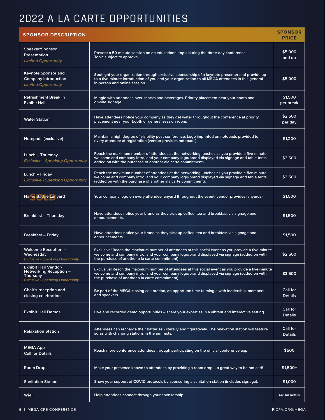# 2022 A LA CARTE OPPORTUNITIES

| <b>SPONSOR DESCRIPTION</b>                                                                                          |                                                                                                                                                                                                                                                               | <b>SPONSOR</b><br><b>PRICE</b> |
|---------------------------------------------------------------------------------------------------------------------|---------------------------------------------------------------------------------------------------------------------------------------------------------------------------------------------------------------------------------------------------------------|--------------------------------|
| Speaker/Sponsor<br>Presentation<br><b>Limited Opportunity</b>                                                       | Present a 50-minute session on an educational topic during the three-day conference.<br>Topic subject to approval.                                                                                                                                            | \$5,000<br>and up              |
| <b>Keynote Sponsor and</b><br><b>Company Introduction</b><br><b>Limited Opportunity</b>                             | Spotlight your organization through exclusive sponsorship of a keynote presenter and provide up<br>to a five-minute introduction of you and your organization to all MEGA attendees in this general<br>in-person and online session.                          | \$5,000                        |
| <b>Refreshment Break in</b><br><b>Exhibit Hall</b>                                                                  | Mingle with attendees over snacks and beverages. Priority placement near your booth and<br>on-site signage.                                                                                                                                                   | \$1,500<br>per break           |
| <b>Water Station</b>                                                                                                | Have attendees notice your company as they get water throughout the conference at priority<br>placement near your booth or general session room.                                                                                                              | \$2,500<br>per day             |
| Notepads (exclusive)                                                                                                | Maintain a high degree of visibility post-conference. Logo imprinted on notepads provided to<br>every attendee at registration (vendor provides notepads).                                                                                                    | \$1,200                        |
| Lunch – Thursday<br><b>Exclusive - Speaking Opportunity</b>                                                         | Reach the maximum number of attendees at the networking lunches as you provide a five-minute<br>welcome and company intro, and your company logo/brand displayed via signage and table tents<br>added on with the purchase of another ala carte commitment).  | \$3,500                        |
| Lunch – Friday<br><b>Exclusive - Speaking Opportunity</b>                                                           | Reach the maximum number of attendees at the networking lunches as you provide a five-minute<br>welcome and company intro, and your company logo/brand displayed via signage and table tents<br>(added on with the purchase of another ala carte commitment). | \$3,500                        |
| <b>Name Badge Lanyard</b>                                                                                           | Your company logo on every attendee lanyard throughout the event (vendor provides lanyards).                                                                                                                                                                  | \$1,500                        |
| <b>Breakfast - Thursday</b>                                                                                         | Have attendees notice your brand as they pick up coffee, tea and breakfast via signage and<br>announcements.                                                                                                                                                  | \$1,500                        |
| <b>Breakfast – Friday</b>                                                                                           | Have attendees notice your brand as they pick up coffee, tea and breakfast via signage and<br>announcements.                                                                                                                                                  | \$1,500                        |
| <b>Welcome Reception –</b><br>Wednesday<br><b>Exclusive - Speaking Opportunity</b>                                  | Exclusive! Reach the maximum number of attendees at this social event as you provide a five-minute<br>welcome and company intro, and your company logo/brand displayed via signage (added on with<br>the purchase of another a la carte commitment)           | \$2,500                        |
| <b>Exhibit Hall Vendor/</b><br>Networking Reception -<br><b>Thursday</b><br><b>Exclusive - Speaking Opportunity</b> | Exclusive! Reach the maximum number of attendees at this social event as you provide a five-minute<br>welcome and company intro, and your company logo/brand displayed via signage (added on with<br>the purchase of another a la carte commitment)           | \$3,500                        |
| Chair's reception and<br>closing celebration                                                                        | Be part of the MEGA closing celebration, an opportune time to mingle with leadership, members<br>and speakers.                                                                                                                                                | Call for<br><b>Details</b>     |
| <b>Exhibit Hall Demos</b>                                                                                           | Live and recorded demo opportunities – share your expertise in a vibrant and interactive setting.                                                                                                                                                             | Call for<br><b>Details</b>     |
| <b>Relaxation Station</b>                                                                                           | Attendees can recharge their batteries - literally and figuratively. The relaxation station will feature<br>sofas with charging stations in the armrests.                                                                                                     | Call for<br><b>Details</b>     |
| <b>MEGA App</b><br><b>Call for Details</b>                                                                          | Reach more conference attendees through participating on the official conference app.                                                                                                                                                                         | \$500                          |
| Room Drops                                                                                                          | Make your presence known to attendees by providing a room drop $-$ a great way to be noticed!                                                                                                                                                                 | $$1,500+$                      |
| <b>Sanitation Station</b>                                                                                           | Show your support of COVID protocols by sponsoring a sanitation station (includes signage).                                                                                                                                                                   | \$1,000                        |
| Wi-Fi                                                                                                               | Help attendees connect through your sponsorship.                                                                                                                                                                                                              | <b>Call for Details</b>        |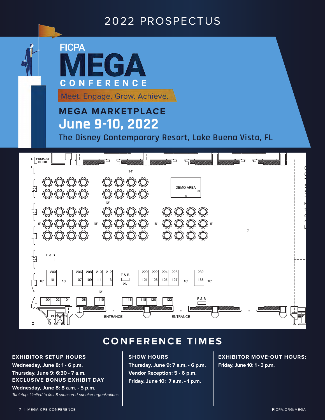## 2022 PROSPECTUS

**FICPA** EGA ONFERENCE Meet. Engage. Grow. Achieve. **MEGA MARKETPLACE** Florida Institute of CPA's Mega Event **June 9-10, 2022** The Disney Contemporary Resort, Lake Buena Vista, FL $\qquad \qquad$ **SERVICE CORRIDOR FREIGHT DOOR** GEMS Move-in: June 8, 2022 14' GEMS Move-out: June 10, 2022 SS SS SS SS ⇔⇔⇔ Times to be determined 4<br>F Show Start Date: June 8, 2022 DEMO AREA ₩₩₩₩ Show Close Date: June 10, 0222 20' 30' Times to be determined 12' Estimated occupant count, l<br>F this shall include all staff and crowd managers: 300 over 2 days 4600 North World Dr.  $9$  d' þ d' þ d' þ 18' d' þ d' þ d' þ d' þ 18' d' þ d' þ d' þ d' þ s' Lake Buena Vista, FL 32836 ŧ DE DE DE DE DE DE DE DE DE DE **J** l<br>Ç F & B 200 206 208 210 212 220 222 224 226 232 F & B 101 107 109 111 113 121 123 125 127 133 16' 10' 16'  $\begin{bmatrix} 10' & 10' & 10' \\ 10' & 10' & 10' \end{bmatrix}$   $\begin{bmatrix} 11 & 11 & 11 \\ 11 & 11 & 11 \end{bmatrix}$   $\begin{bmatrix} 11 & 11 & 11 \\ 11 & 11 & 11 \end{bmatrix}$   $\begin{bmatrix} 12 & 12 & 12 \\ 12 & 12 & 12 \end{bmatrix}$   $\begin{bmatrix} 12 & 12 & 12 \\ 12 & 12 & 12 \end{bmatrix}$   $\begin{bmatrix} 16' & 1 & 13 \\ 1$ 26' 12' F & B 100 102 104 108 110 110 116 118 120 122 ENTRANCE WEITHER ENTRANCE EL**EINA/1DR**  $\Box$ 

## **CONFERENCE TIMES**

## **EXHIBITOR SETUP HOURS**

**Wednesday, June 8: 1 - 6 p.m.**  $\blacksquare$ **Thursday, June 9: 6:30 - 7 a.m. EXCLUSIVE BONUS EXHIBIT DAY Wednesday, June 8: 8 a.m. - 5 p.m.** 

Tabletop: Limited to first 8 sponsored-speaker organizations.

### **SHOW HOURS REGISTRATION**

**Thursday, June 9: 7 a.m. - 6 p.m.**  $\blacksquare$  Vendor Reception: 5 - 6 p.m.  $\blacksquare$ **Friday, June 10: 7 a.m. - 1 p.m. CENTER BUSINESS**

**EXHIBITOR MOVE-OUT HOURS: Friday, June 10: 1 - 3 p.m.** 

**A B**

**REGISTRATION**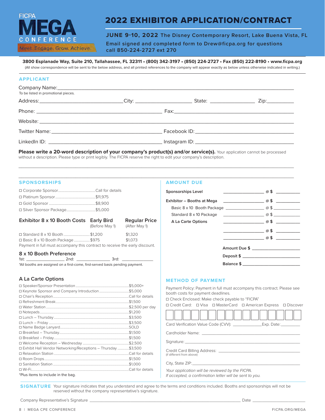# **FICPA** FERENC Meet, Engage, Grow, Achieve,

## 2022 EXHIBITOR APPLICATION/CONTRACT

**JUNE 9-10, 2022 The Disney Contemporary Resort, Lake Buena Vista, FL**

**Email signed and completed form to Drew@ficpa.org for questions call 850-224-2727 ext 270**

**3800 Esplanade Way, Suite 210, Tallahassee, FL 32311 • (800) 342-3197 • (850) 224-2727 • Fax (850) 222-8190 • www.ficpa.org**

(All show correspondence will be sent to the below address, and all printed references to the company will appear exactly as below unless otherwise indicated in writing.)

### **APPLICANT**

| Company Name: company Name: company Name: company Name: company Name: company Name: company Name: company Name: company Name: company Name: company Name: company Name: company Name: company Name: company Name: company Name<br>To be listed in promotional pieces. |  |  |
|-----------------------------------------------------------------------------------------------------------------------------------------------------------------------------------------------------------------------------------------------------------------------|--|--|
|                                                                                                                                                                                                                                                                       |  |  |
|                                                                                                                                                                                                                                                                       |  |  |
|                                                                                                                                                                                                                                                                       |  |  |
|                                                                                                                                                                                                                                                                       |  |  |
|                                                                                                                                                                                                                                                                       |  |  |

Please write a 20-word description of your company's product(s) and/or service(s). Your application cannot be processed without a description. Please type or print legibly. The FICPA reserve the right to edit your company's description.

\_\_\_\_\_\_\_\_\_\_\_\_\_\_\_\_\_\_\_\_\_\_\_\_\_\_\_\_\_\_\_\_\_\_\_\_\_\_\_\_\_\_\_\_\_\_\_\_\_\_\_\_\_\_\_\_\_\_\_\_\_\_\_\_\_\_\_\_\_\_\_\_\_\_\_\_\_\_\_\_\_\_\_\_\_\_\_\_\_\_\_\_  $\_$  ,  $\_$  ,  $\_$  ,  $\_$  ,  $\_$  ,  $\_$  ,  $\_$  ,  $\_$  ,  $\_$  ,  $\_$  ,  $\_$  ,  $\_$  ,  $\_$  ,  $\_$  ,  $\_$  ,  $\_$  ,  $\_$  ,  $\_$  ,  $\_$  ,  $\_$  ,  $\_$  ,  $\_$  ,  $\_$  ,  $\_$  ,  $\_$  ,  $\_$  ,  $\_$  ,  $\_$  ,  $\_$  ,  $\_$  ,  $\_$  ,  $\_$  ,  $\_$  ,  $\_$  ,  $\_$  ,  $\_$  ,  $\_$  ,

#### **SPONSORSHIPS**

| □ Silver Sponsor Package\$5,000                                             |                |                                       |
|-----------------------------------------------------------------------------|----------------|---------------------------------------|
| Exhibitor 8 x 10 Booth Costs Early Bird                                     | (Before May 1) | <b>Regular Price</b><br>(After May 1) |
| □ Standard 8 x 10 Booth \$1,200                                             |                | \$1,320                               |
| □ Basic 8 x 10 Booth Package \$975                                          |                | \$1,073                               |
| Payment in full must accompany this contract to receive the early discount. |                |                                       |

## **8 x 10 Booth Preference**

\_\_\_\_\_\_ 2nd: \_\_\_\_\_\_\_\_\_\_\_\_\_\_\_\_\_\_\_\_ 3rd: \_ \*All booths are assigned on a first-come, first-served basis pending payment.

#### **A La Carte Options**

|                                                                | $.$ \$5.000+     |
|----------------------------------------------------------------|------------------|
| □ Keynote Sponsor and Company Introduction\$5,000              |                  |
|                                                                |                  |
|                                                                |                  |
|                                                                | .\$2,500 per day |
|                                                                | \$1.200          |
|                                                                |                  |
|                                                                | \$3.500          |
|                                                                | .SOLD            |
|                                                                |                  |
|                                                                |                  |
|                                                                |                  |
| □ Exhibit Hall Vendor Networking/Receptions – Thursday \$3,500 |                  |
|                                                                |                  |
|                                                                |                  |
|                                                                |                  |
|                                                                |                  |
| *Plus items to include in the bag.                             |                  |

#### **AMOUNT DUE**

| <b>Sponsorships Level</b>  | $\overline{\phantom{a}}$ $\overline{\phantom{a}}$ $\overline{\phantom{a}}$ $\overline{\phantom{a}}$ $\overline{\phantom{a}}$ $\overline{\phantom{a}}$ $\overline{\phantom{a}}$ $\overline{\phantom{a}}$ $\overline{\phantom{a}}$ $\overline{\phantom{a}}$ $\overline{\phantom{a}}$ $\overline{\phantom{a}}$ $\overline{\phantom{a}}$ $\overline{\phantom{a}}$ $\overline{\phantom{a}}$ $\overline{\phantom{a}}$ $\overline{\phantom{a}}$ $\overline{\phantom{a}}$ $\overline{\$ | <u> 1990 - Jan Jawa</u> |
|----------------------------|---------------------------------------------------------------------------------------------------------------------------------------------------------------------------------------------------------------------------------------------------------------------------------------------------------------------------------------------------------------------------------------------------------------------------------------------------------------------------------|-------------------------|
| Exhibitor – Booths at Mega | $\overline{a}$ \$ $\overline{a}$                                                                                                                                                                                                                                                                                                                                                                                                                                                |                         |
|                            |                                                                                                                                                                                                                                                                                                                                                                                                                                                                                 |                         |
|                            |                                                                                                                                                                                                                                                                                                                                                                                                                                                                                 |                         |
| A La Carte Options         | $\overline{\phantom{a}}$ $\overline{\phantom{a}}$ $\overline{\phantom{a}}$ $\overline{\phantom{a}}$ $\overline{\phantom{a}}$ $\overline{\phantom{a}}$ $\overline{\phantom{a}}$ $\overline{\phantom{a}}$ $\overline{\phantom{a}}$ $\overline{\phantom{a}}$ $\overline{\phantom{a}}$ $\overline{\phantom{a}}$ $\overline{\phantom{a}}$ $\overline{\phantom{a}}$ $\overline{\phantom{a}}$ $\overline{\phantom{a}}$ $\overline{\phantom{a}}$ $\overline{\phantom{a}}$ $\overline{\$ |                         |
|                            | $\omega$ \$                                                                                                                                                                                                                                                                                                                                                                                                                                                                     |                         |
|                            | $\alpha$ \$                                                                                                                                                                                                                                                                                                                                                                                                                                                                     |                         |
|                            |                                                                                                                                                                                                                                                                                                                                                                                                                                                                                 |                         |
|                            | Amount Due \$                                                                                                                                                                                                                                                                                                                                                                                                                                                                   |                         |
|                            | Deposit \$                                                                                                                                                                                                                                                                                                                                                                                                                                                                      |                         |
|                            | Balance \$                                                                                                                                                                                                                                                                                                                                                                                                                                                                      |                         |

#### **METHOD OF PAYMENT**

Payment Policy: Payment in full must accompany this contract. Please see booth costs for payment deadlines.

☐ Check Enclosed: Make check payable to "FICPA"

|  |  |  | □ Credit Card: □ Visa □ MasterCard □ American Express □ Discover |  |
|--|--|--|------------------------------------------------------------------|--|
|--|--|--|------------------------------------------------------------------|--|

|                  | Exp. Date: |
|------------------|------------|
| Cardholder Name: |            |
| Signature:       |            |

Credit Card Billing Address: \_ (if different from above)

City, State ZIP:

 $\neg$ 

Г

*Your application will be reviewed by the FICPA. If accepted, a confirmation letter will be sent to you.*

**SIGNATURE** Your signature indicates that you understand and agree to the terms and conditions included. Booths and sponsorships will not be reserved without the company representative's signature.

Company Representative's Signature \_\_\_\_\_\_\_\_\_\_\_\_\_\_\_\_\_\_\_\_\_\_\_\_\_\_\_\_\_\_\_\_\_\_\_\_\_\_\_\_\_\_\_\_\_\_\_\_\_\_\_\_\_\_\_\_\_\_\_\_\_\_\_ Date \_\_\_\_\_\_\_\_\_\_\_\_\_\_\_\_\_\_\_\_\_\_

┑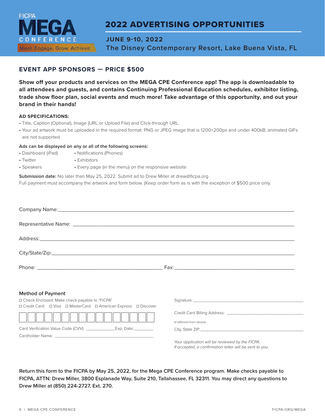

## 2022 ADVERTISING OPPORTUNITIES

**JUNE 9-10, 2022 The Disney Contemporary Resort, Lake Buena Vista, FL**

## **EVENT APP SPONSORS — PRICE \$500**

**Show off your products and services on the MEGA CPE Conference app! The app is downloadable to all attendees and guests, and contains Continuing Professional Education schedules, exhibitor listing, trade show floor plan, social events and much more! Take advantage of this opportunity, and out your brand in their hands!**

### **AD SPECIFICATIONS:**

- Title, Caption (Optional), Image (URL or Upload File) and Click-through URL.
- Your ad artwork must be uploaded in the required format: PNG or JPEG image that is 1200×200px and under 400kB; animated GIFs are not supported

#### **Ads can be displayed on any or all of the following screens:**

- Dashboard (iPad) Notifications (Phones)
- Twitter Exhibitors
- Speakers Every page (in the menu) on the responsive website
- **Submission date:** No later than May 25, 2022. Submit ad to Drew Miller at drew@ficpa.org

Full payment must accompany the artwork and form below. (Keep order form as is with the exception of \$500 price only.

| <b>Method of Payment</b>                                                                                            |                                                                                                            |
|---------------------------------------------------------------------------------------------------------------------|------------------------------------------------------------------------------------------------------------|
| □ Check Enclosed: Make check payable to "FICPA"<br>□ Credit Card: □ Visa □ MasterCard □ American Express □ Discover |                                                                                                            |
|                                                                                                                     | (if different from above)                                                                                  |
|                                                                                                                     |                                                                                                            |
|                                                                                                                     | Your application will be reviewed by the FICPA.<br>If accepted, a confirmation letter will be sent to you. |

**Return this form to the FICPA by May 25, 2022, for the Mega CPE Conference program. Make checks payable to FICPA, ATTN: Drew Miller, 3800 Esplanade Way, Suite 210, Tallahassee, FL 32311. You may direct any questions to Drew Miller at (850) 224-2727, Ext. 270.**